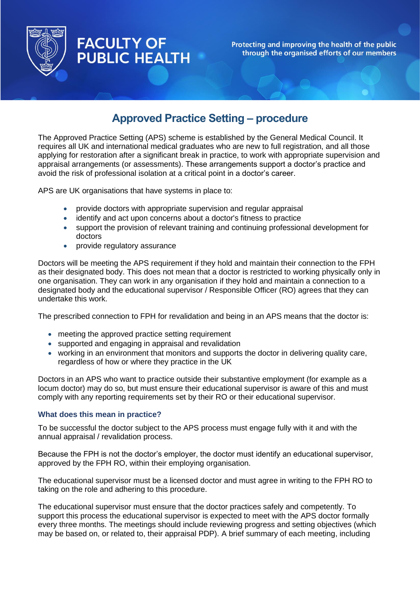

# **FACULTY OF PUBLIC HEALTH**

Protecting and improving the health of the public through the organised efforts of our members

# **Approved Practice Setting – procedure**

The Approved Practice Setting (APS) scheme is established by the General Medical Council. It requires all UK and international medical graduates who are new to full registration, and all those applying for restoration after a significant break in practice, to work with appropriate supervision and appraisal arrangements (or assessments). These arrangements support a doctor's practice and avoid the risk of professional isolation at a critical point in a doctor's career.

APS are UK organisations that have systems in place to:

- provide doctors with appropriate supervision and regular appraisal
- identify and act upon concerns about a doctor's fitness to practice
- support the provision of relevant training and continuing professional development for doctors
- provide regulatory assurance

Doctors will be meeting the APS requirement if they hold and maintain their connection to the FPH as their designated body. This does not mean that a doctor is restricted to working physically only in one organisation. They can work in any organisation if they hold and maintain a connection to a designated body and the educational supervisor / Responsible Officer (RO) agrees that they can undertake this work.

The prescribed connection to FPH for revalidation and being in an APS means that the doctor is:

- meeting the approved practice setting requirement
- supported and engaging in appraisal and revalidation
- working in an environment that monitors and supports the doctor in delivering quality care, regardless of how or where they practice in the UK

Doctors in an APS who want to practice outside their substantive employment (for example as a locum doctor) may do so, but must ensure their educational supervisor is aware of this and must comply with any reporting requirements set by their RO or their educational supervisor.

## **What does this mean in practice?**

To be successful the doctor subject to the APS process must engage fully with it and with the annual appraisal / revalidation process.

Because the FPH is not the doctor's employer, the doctor must identify an educational supervisor, approved by the FPH RO, within their employing organisation.

The educational supervisor must be a licensed doctor and must agree in writing to the FPH RO to taking on the role and adhering to this procedure.

The educational supervisor must ensure that the doctor practices safely and competently. To support this process the educational supervisor is expected to meet with the APS doctor formally every three months. The meetings should include reviewing progress and setting objectives (which may be based on, or related to, their appraisal PDP). A brief summary of each meeting, including